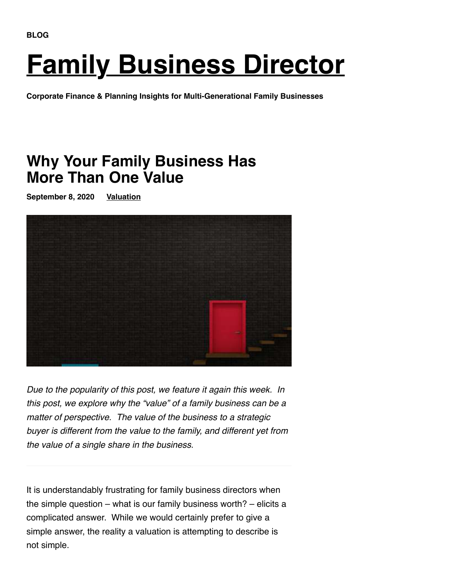# **[Family Business Director](https://mercercapital.com/family-business-director/)**

**Corporate Finance & Planning Insights for Multi-Generational Family Businesses**

# **Why Your Family Business Has More Than One Value**

**September 8, 2020 [Valuation](https://mercercapital.com/category/family-business-director/valuation/)**



Due to the popularity of this post, we feature it again this week. In this post, we explore why the "value" of a family business can be a matter of perspective. The value of the business to a strategic buyer is different from the value to the family, and different yet from the value of a single share in the business.

It is understandably frustrating for family business directors when the simple question – what is our family business worth? – elicits a complicated answer. While we would certainly prefer to give a simple answer, the reality a valuation is attempting to describe is not simple.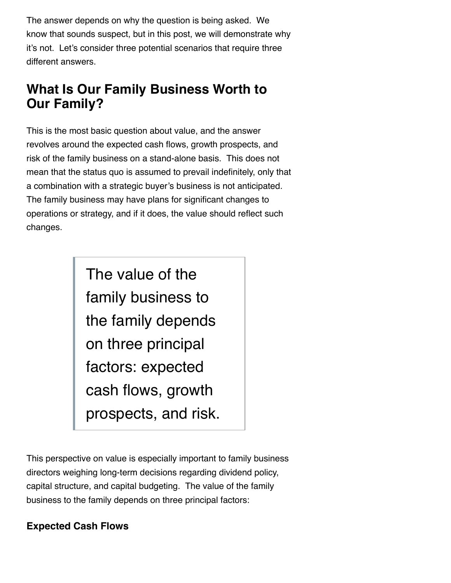The answer depends on why the question is being asked. We know that sounds suspect, but in this post, we will demonstrate why it's not. Let's consider three potential scenarios that require three different answers.

## **What Is Our Family Business Worth to Our Family?**

This is the most basic question about value, and the answer revolves around the expected cash flows, growth prospects, and risk of the family business on a stand-alone basis. This does not mean that the status quo is assumed to prevail indefinitely, only that a combination with a strategic buyer's business is not anticipated. The family business may have plans for significant changes to operations or strategy, and if it does, the value should reflect such changes.

> The value of the family business to the family depends on three principal factors: expected cash flows, growth prospects, and risk.

This perspective on value is especially important to family business directors weighing long-term decisions regarding dividend policy, capital structure, and capital budgeting. The value of the family business to the family depends on three principal factors:

## **Expected Cash Flows**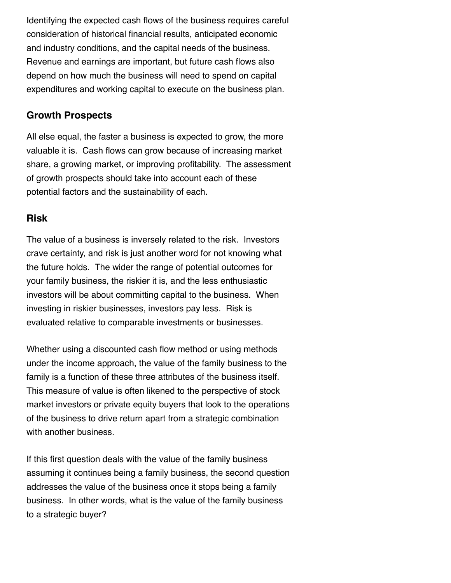Identifying the expected cash flows of the business requires careful consideration of historical financial results, anticipated economic and industry conditions, and the capital needs of the business. Revenue and earnings are important, but future cash flows also depend on how much the business will need to spend on capital expenditures and working capital to execute on the business plan.

## **Growth Prospects**

All else equal, the faster a business is expected to grow, the more valuable it is. Cash flows can grow because of increasing market share, a growing market, or improving profitability. The assessment of growth prospects should take into account each of these potential factors and the sustainability of each.

## **Risk**

The value of a business is inversely related to the risk. Investors crave certainty, and risk is just another word for not knowing what the future holds. The wider the range of potential outcomes for your family business, the riskier it is, and the less enthusiastic investors will be about committing capital to the business. When investing in riskier businesses, investors pay less. Risk is evaluated relative to comparable investments or businesses.

Whether using a discounted cash flow method or using methods under the income approach, the value of the family business to the family is a function of these three attributes of the business itself. This measure of value is often likened to the perspective of stock market investors or private equity buyers that look to the operations of the business to drive return apart from a strategic combination with another business.

If this first question deals with the value of the family business assuming it continues being a family business, the second question addresses the value of the business once it stops being a family business. In other words, what is the value of the family business to a strategic buyer?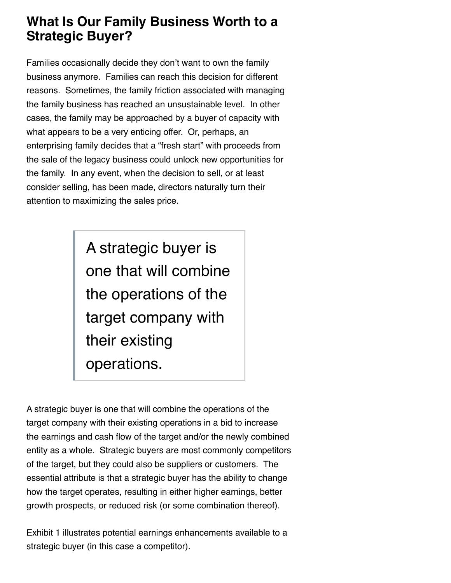## **What Is Our Family Business Worth to a Strategic Buyer?**

Families occasionally decide they don't want to own the family business anymore. Families can reach this decision for different reasons. Sometimes, the family friction associated with managing the family business has reached an unsustainable level. In other cases, the family may be approached by a buyer of capacity with what appears to be a very enticing offer. Or, perhaps, an enterprising family decides that a "fresh start" with proceeds from the sale of the legacy business could unlock new opportunities for the family. In any event, when the decision to sell, or at least consider selling, has been made, directors naturally turn their attention to maximizing the sales price.

> A strategic buyer is one that will combine the operations of the target company with their existing operations.

A strategic buyer is one that will combine the operations of the target company with their existing operations in a bid to increase the earnings and cash flow of the target and/or the newly combined entity as a whole. Strategic buyers are most commonly competitors of the target, but they could also be suppliers or customers. The essential attribute is that a strategic buyer has the ability to change how the target operates, resulting in either higher earnings, better growth prospects, or reduced risk (or some combination thereof).

Exhibit 1 illustrates potential earnings enhancements available to a strategic buyer (in this case a competitor).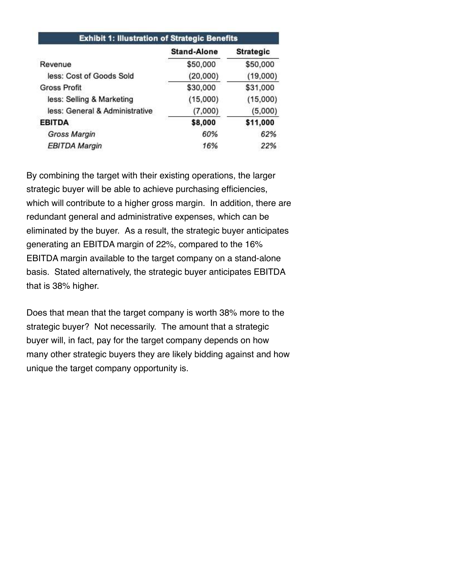| <b>Exhibit 1: Illustration of Strategic Benefits</b> |                      |                      |  |
|------------------------------------------------------|----------------------|----------------------|--|
|                                                      | <b>Stand-Alone</b>   | <b>Strategic</b>     |  |
| Revenue                                              | \$50,000             | \$50,000             |  |
| less: Cost of Goods Sold                             | (20,000)             | (19,000)             |  |
| <b>Gross Profit</b>                                  | \$30,000<br>(15,000) | \$31,000<br>(15,000) |  |
| less: Selling & Marketing                            |                      |                      |  |
| less: General & Administrative                       | (7,000)              | (5,000)              |  |
| <b>EBITDA</b>                                        | \$8,000              | \$11,000             |  |
| <b>Gross Margin</b>                                  | 60%                  | 62%                  |  |
| <b>EBITDA Margin</b>                                 | 16%                  | 22%                  |  |

By combining the target with their existing operations, the larger strategic buyer will be able to achieve purchasing efficiencies, which will contribute to a higher gross margin. In addition, there are redundant general and administrative expenses, which can be eliminated by the buyer. As a result, the strategic buyer anticipates generating an EBITDA margin of 22%, compared to the 16% EBITDA margin available to the target company on a stand-alone basis. Stated alternatively, the strategic buyer anticipates EBITDA that is 38% higher.

Does that mean that the target company is worth 38% more to the strategic buyer? Not necessarily. The amount that a strategic buyer will, in fact, pay for the target company depends on how many other strategic buyers they are likely bidding against and how unique the target company opportunity is.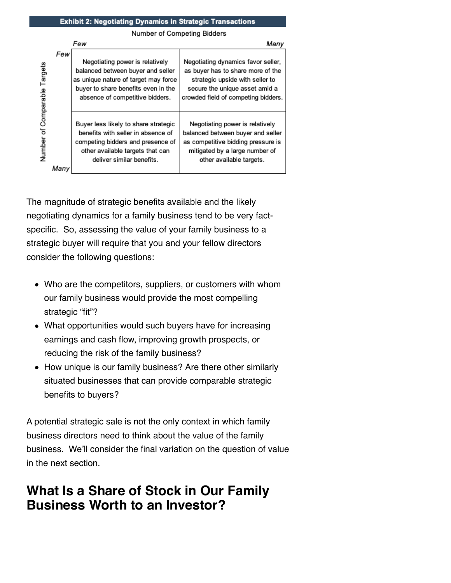#### Exhibit 2: Negotiating Dynamics in Strategic Transactions

Number of Competing Bidders

|               | Few  |                                                                                                    | Many                                                                                             |
|---------------|------|----------------------------------------------------------------------------------------------------|--------------------------------------------------------------------------------------------------|
|               | Few  | Negotiating power is relatively                                                                    | Negotiating dynamics favor seller,                                                               |
| Targets       |      | balanced between buyer and seller<br>as unique nature of target may force                          | as buyer has to share more of the<br>strategic upside with seller to                             |
| of Comparable |      | buyer to share benefits even in the<br>absence of competitive bidders.                             | secure the unique asset amid a<br>crowded field of competing bidders.                            |
|               |      |                                                                                                    |                                                                                                  |
|               |      | Buyer less likely to share strategic<br>benefits with seller in absence of                         | Negotiating power is relatively<br>balanced between buyer and seller                             |
| Number        |      | competing bidders and presence of<br>other available targets that can<br>deliver similar benefits. | as competitive bidding pressure is<br>mitigated by a large number of<br>other available targets. |
|               | Manv |                                                                                                    |                                                                                                  |

The magnitude of strategic benefits available and the likely negotiating dynamics for a family business tend to be very factspecific. So, assessing the value of your family business to a strategic buyer will require that you and your fellow directors consider the following questions:

- Who are the competitors, suppliers, or customers with whom our family business would provide the most compelling strategic "fit"?
- What opportunities would such buyers have for increasing earnings and cash flow, improving growth prospects, or reducing the risk of the family business?
- How unique is our family business? Are there other similarly situated businesses that can provide comparable strategic benefits to buyers?

A potential strategic sale is not the only context in which family business directors need to think about the value of the family business. We'll consider the final variation on the question of value in the next section.

## **What Is a Share of Stock in Our Family Business Worth to an Investor?**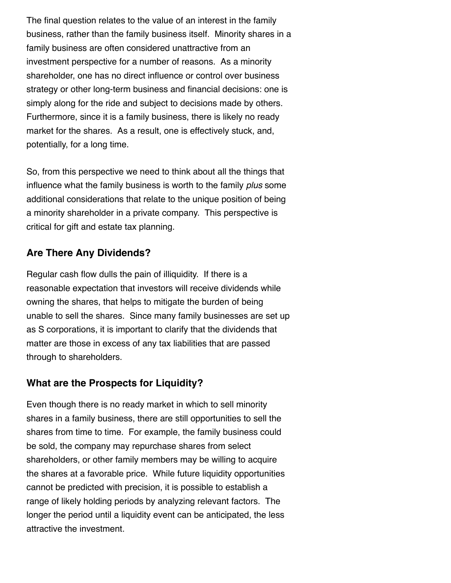The final question relates to the value of an interest in the family business, rather than the family business itself. Minority shares in a family business are often considered unattractive from an investment perspective for a number of reasons. As a minority shareholder, one has no direct influence or control over business strategy or other long-term business and financial decisions: one is simply along for the ride and subject to decisions made by others. Furthermore, since it is a family business, there is likely no ready market for the shares. As a result, one is effectively stuck, and, potentially, for a long time.

So, from this perspective we need to think about all the things that influence what the family business is worth to the family plus some additional considerations that relate to the unique position of being a minority shareholder in a private company. This perspective is critical for gift and estate tax planning.

## **Are There Any Dividends?**

Regular cash flow dulls the pain of illiquidity. If there is a reasonable expectation that investors will receive dividends while owning the shares, that helps to mitigate the burden of being unable to sell the shares. Since many family businesses are set up as S corporations, it is important to clarify that the dividends that matter are those in excess of any tax liabilities that are passed through to shareholders.

## **What are the Prospects for Liquidity?**

Even though there is no ready market in which to sell minority shares in a family business, there are still opportunities to sell the shares from time to time. For example, the family business could be sold, the company may repurchase shares from select shareholders, or other family members may be willing to acquire the shares at a favorable price. While future liquidity opportunities cannot be predicted with precision, it is possible to establish a range of likely holding periods by analyzing relevant factors. The longer the period until a liquidity event can be anticipated, the less attractive the investment.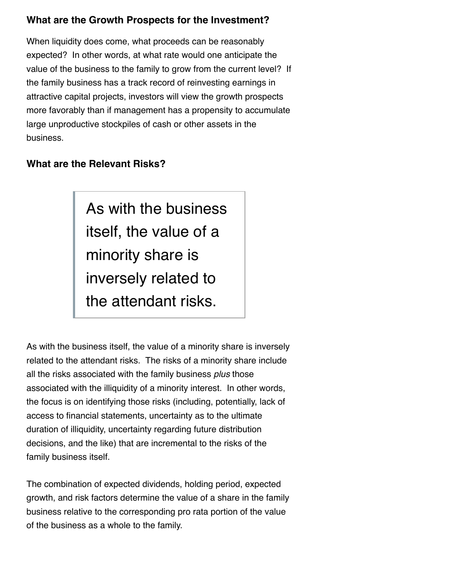## **What are the Growth Prospects for the Investment?**

When liquidity does come, what proceeds can be reasonably expected? In other words, at what rate would one anticipate the value of the business to the family to grow from the current level? If the family business has a track record of reinvesting earnings in attractive capital projects, investors will view the growth prospects more favorably than if management has a propensity to accumulate large unproductive stockpiles of cash or other assets in the business.

## **What are the Relevant Risks?**

As with the business itself, the value of a minority share is inversely related to the attendant risks.

As with the business itself, the value of a minority share is inversely related to the attendant risks. The risks of a minority share include all the risks associated with the family business plus those associated with the illiquidity of a minority interest. In other words, the focus is on identifying those risks (including, potentially, lack of access to financial statements, uncertainty as to the ultimate duration of illiquidity, uncertainty regarding future distribution decisions, and the like) that are incremental to the risks of the family business itself.

The combination of expected dividends, holding period, expected growth, and risk factors determine the value of a share in the family business relative to the corresponding pro rata portion of the value of the business as a whole to the family.